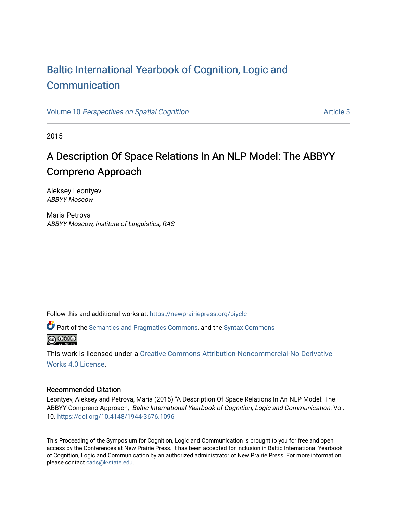## [Baltic International Yearbook of Cognition, Logic and](https://newprairiepress.org/biyclc)  **[Communication](https://newprairiepress.org/biyclc)**

Volume 10 [Perspectives on Spatial Cognition](https://newprairiepress.org/biyclc/vol10) Article 5

2015

# A Description Of Space Relations In An NLP Model: The ABBYY Compreno Approach

Aleksey Leontyev ABBYY Moscow

Maria Petrova ABBYY Moscow, Institute of Linguistics, RAS

Follow this and additional works at: [https://newprairiepress.org/biyclc](https://newprairiepress.org/biyclc?utm_source=newprairiepress.org%2Fbiyclc%2Fvol10%2Fiss1%2F5&utm_medium=PDF&utm_campaign=PDFCoverPages) 

Part of the [Semantics and Pragmatics Commons](http://network.bepress.com/hgg/discipline/383?utm_source=newprairiepress.org%2Fbiyclc%2Fvol10%2Fiss1%2F5&utm_medium=PDF&utm_campaign=PDFCoverPages), and the [Syntax Commons](http://network.bepress.com/hgg/discipline/384?utm_source=newprairiepress.org%2Fbiyclc%2Fvol10%2Fiss1%2F5&utm_medium=PDF&utm_campaign=PDFCoverPages)   $\bigcirc$  000

This work is licensed under a [Creative Commons Attribution-Noncommercial-No Derivative](https://creativecommons.org/licenses/by-nc-nd/4.0/)  [Works 4.0 License](https://creativecommons.org/licenses/by-nc-nd/4.0/).

## Recommended Citation

Leontyev, Aleksey and Petrova, Maria (2015) "A Description Of Space Relations In An NLP Model: The ABBYY Compreno Approach," Baltic International Yearbook of Cognition, Logic and Communication: Vol. 10.<https://doi.org/10.4148/1944-3676.1096>

This Proceeding of the Symposium for Cognition, Logic and Communication is brought to you for free and open access by the Conferences at New Prairie Press. It has been accepted for inclusion in Baltic International Yearbook of Cognition, Logic and Communication by an authorized administrator of New Prairie Press. For more information, please contact [cads@k-state.edu.](mailto:cads@k-state.edu)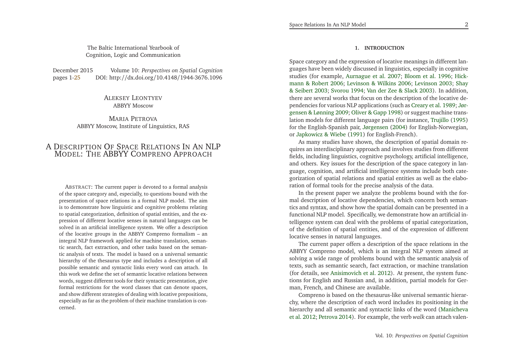The Baltic International Yearbook ofCognition, Logic and Communication

December 2015 *Perspectives on Spatial Cognition* DOI: http://dx.doi.org/10.4148/1944-3676.1096 pages 1[-25](#page-13-0)

> Aleksey Leontyev ABBYY Moscow

Maria Petrova ABBYY Moscow, Institute of Linguistics, RAS

## A DESCRIPTION OF SPACE RELATIONS IN AN NLP MODEL: THE ABBYY COMPRENO APPROACH

ABSTRACT: The current paper is devoted to <sup>a</sup> formal analysis of the space category and, especially, to questions bound with the presentation of space relations in <sup>a</sup> formal NLP model. The aim is to demonstrate how linguistic and cognitive problems relating to spatial categorization, definition of spatial entities, and the expression of different locative senses in natural languages can be solved in an artificial intelligence system. We offer <sup>a</sup> description of the locative groups in the ABBYY Compreno formalism – an integral NLP framework applied for machine translation, semantic search, fact extraction, and other tasks based on the semantic analysis of texts. The model is based on <sup>a</sup> universal semantic hierarchy of the thesaurus type and includes <sup>a</sup> description of all possible semantic and syntactic links every word can attach. In this work we define the set of semantic locative relations between words, sugges<sup>t</sup> different tools for their syntactic presentation, <sup>g</sup>ive formal restrictions for the word classes that can denote spaces, and show different strategies of dealing with locative prepositions, especially as far as the problem of their machine translation is concerned.

## **1. INTRODUCTION**

Space category and the expression of locative meanings in different languages have been widely discussed in linguistics, especially in cognitive studies (for example, [Aurnague](#page-12-0) et al. [2007](#page-12-0); [Bloom](#page-12-1) et al. [1996](#page-12-1); Hickmann & Robert [2006](#page-12-2)[;](#page-13-3) [Levinson](#page-13-1) & Wilkins [2006](#page-13-1); [Levinson](#page-13-2) [2003](#page-13-2); Shay & Seibert [2003](#page-13-3); [Svorou](#page-13-4) [1994](#page-13-4); Van der Zee & [Slack](#page-13-5) [2003\)](#page-13-5). In addition, there are several works that focus on the description of the locative dependencies for various NLP applications (such as [Creary](#page-12-3) et al. [1989](#page-12-3); Jørgensen & Lønning [2009](#page-13-6); [Oliver](#page-13-7) & Gapp [1998](#page-13-7)) or sugges<sup>t</sup> machine translation models for different language pairs (for instance, [Trujillo](#page-13-8) [\(1995](#page-13-8)) for the English-Spanish pair, [Jørgensen](#page-13-9) [\(2004](#page-13-9)) for English-Norwegian, or [Japkowicz](#page-13-10) & Wiebe [\(1991](#page-13-10)) for English-French).

As many studies have shown, the description of spatial domain requires an interdisciplinary approach and involves studies from different fields, including linguistics, cognitive psychology, artificial intelligence, and others. Key issues for the description of the space category in language, cognition, and artificial intelligence systems include both categorization of spatial relations and spatial entities as well as the elaboration of formal tools for the precise analysis of the data.

In the presen<sup>t</sup> paper we analyze the problems bound with the formal description of locative dependencies, which concern both semantics and syntax, and show how the spatial domain can be presented in <sup>a</sup> functional NLP model. Specifically, we demonstrate how an artificial intelligence system can deal with the problems of spatial categorization, of the definition of spatial entities, and of the expression of differentlocative senses in natural languages.

The current paper offers <sup>a</sup> description of the space relations in the ABBYY Compreno model, which is an integral NLP system aimed at solving <sup>a</sup> wide range of problems bound with the semantic analysis of texts, such as semantic search, fact extraction, or machine translation (for details, see [Anisimovich](#page-12-4) et al. [2012](#page-12-4)). At present, the system functions for English and Russian and, in addition, partial models for German, French, and Chinese are available.

Compreno is based on the thesaurus-like universal semantic hierarchy, where the description of each word includes its positioning in the hierarch[y](#page-13-11) and all semantic and syntactic links of the word (Manichevaet al. [2012](#page-13-11); [Petrova](#page-13-12) [2014](#page-13-12)). For example, the verb *walk* can attach valen-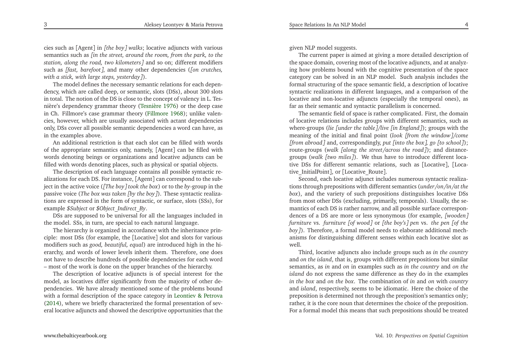cies such as [Agent] in *[the boy] walks*; locative adjuncts with various semantics such as [in the street, around the room, from the park, to the *station, along the road, two kilometers]* and so on; different modifiers such as *[fast, barefoot]*, and many other dependencies (*[on crutches, with <sup>a</sup> stick, with large steps, yesterday]*).

The model defines the necessary semantic relations for each dependency, which are called deep, or semantic, slots (DSs), about <sup>300</sup> slots in total. The notion of the DS is close to the concep<sup>t</sup> of valency in L. Tesnière's dependency grammar theory [\(Tesnière](#page-13-13) [1976](#page-13-13)) or the deep case in Ch. Fillmore's case grammar theory [\(Fillmore](#page-12-5) [1968\)](#page-12-5); unlike valencies, however, which are usually associated with actant dependencies only, DSs cover all possible semantic dependencies <sup>a</sup> word can have, asin the examples above.

An additional restriction is that each slot can be filled with words of the appropriate semantics only, namely, [Agent] can be filled with words denoting beings or organizations and locative adjuncts can befilled with words denoting <sup>p</sup>laces, such as <sup>p</sup>hysical or spatial objects.

The description of each language contains all possible syntactic realizations for each DS. For instance, [Agent] can correspond to the subject in the active voice (*[The boy] took the box*) or to the *by*-group in the passive voice (*The box was taken [by the boy]*). These syntactic realizations are expressed in the form of syntactic, or surface, slots (SSs), forexample *\$Subject* or *\$Object*\_*Indirect*\_*By*.

DSs are supposed to be universal for all the languages included inthe model. SSs, in turn, are special to each natural language.

The hierarchy is organized in accordance with the inheritance principle: most DSs (for example, the [Locative] slot and slots for various modifiers such as *good, beautiful, equal*) are introduced high in the hierarchy, and words of lower levels inherit them. Therefore, one does not have to describe hundreds of possible dependencies for each word– most of the work is done on the upper branches of the hierarchy.

The description of locative adjuncts is of special interest for the model, as locatives differ significantly from the majority of other dependencies. We have already mentioned some of the problems bound with <sup>a</sup> formal description of the space category in [Leontiev](#page-13-14) & Petrova [\(2014](#page-13-14)), where we briefly characterized the formal presentation of several locative adjuncts and showed the descriptive opportunities that the <sup>g</sup>iven NLP model suggests.

The current paper is aimed at <sup>g</sup>iving <sup>a</sup> more detailed description of the space domain, covering most of the locative adjuncts, and at analyzing how problems bound with the cognitive presentation of the space category can be solved in an NLP model. Such analysis includes the formal structuring of the space semantic field, <sup>a</sup> description of locative syntactic realizations in different languages, and <sup>a</sup> comparison of the locative and non-locative adjuncts (especially the temporal ones), asfar as their semantic and syntactic parallelism is concerned.

The semantic field of space is rather complicated. First, the domain of locative relations includes groups with different semantics, such as where-groups (*lie [under the table]/live [in England]*); groups with the meaning of the initial and final point (*look [from the window]/come* [from abroad] and, correspondingly, put [into the box], go [to school]); route-groups (*walk [along the street/across the road]*); and distancegroups (*walk [two miles]*). We thus have to introduce different locative DSs for different semantic relations, such as [Locative], [Locative\_InitialPoint], or [Locative\_Route].

Second, each locative adjunct includes numerous syntactic realizations through prepositions with different semantics (*under/on/in/at the box*), and the variety of such prepositions distinguishes locative DSs from most other DSs (excluding, primarily, temporals). Usually, the semantics of each DS is rather narrow, and all possible surface correspondences of <sup>a</sup> DS are more or less synonymous (for example, *[wooden] furniture* vs. *furniture [of wood]* or *[the boy's] pen* vs. *the pen [of the boy]*). Therefore, <sup>a</sup> formal model needs to elaborate additional mechanisms for distinguishing different senses within each locative slot aswell.

 Third, locative adjuncts also include groups such as *in the country* and *on the island*, that is, groups with different prepositions but similar semantics, as *in* and *on* in examples such as *in the country* and *on the island* do not express the same difference as they do in the examples *in the box* and *on the box*. The combination of *in* and *on* with *country* and *island*, respectively, seems to be idiomatic. Here the choice of the preposition is determined not through the preposition's semantics only; rather, it is the core noun that determines the choice of the preposition. For <sup>a</sup> formal model this means that such prepositions should be treated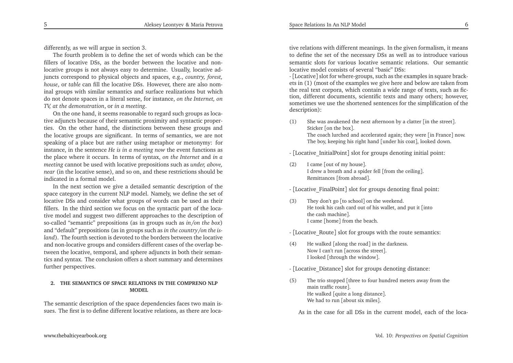differently, as we will argue in section 3.

The fourth problem is to define the set of words which can be the fillers of locative DSs, as the border between the locative and nonlocative groups is not always easy to determine. Usually, locative adjuncts correspond to <sup>p</sup>hysical objects and spaces, e.g., *country, forest, house*, or *table* can fill the locative DSs. However, there are also nominal groups with similar semantics and surface realizations but which do not denote spaces in <sup>a</sup> literal sense, for instance, *on the Internet, onTV, at the demonstration*, or *in <sup>a</sup> meeting*.

On the one hand, it seems reasonable to regard such groups as locative adjuncts because of their semantic proximity and syntactic properties. On the other hand, the distinctions between these groups and the locative groups are significant. In terms of semantics, we are not speaking of <sup>a</sup> <sup>p</sup>lace but are rather using metaphor or metonymy: for instance, in the sentence *He is in <sup>a</sup> meeting now* the event functions as the <sup>p</sup>lace where it occurs. In terms of syntax, *on the Internet* and *in <sup>a</sup> meeting* cannot be used with locative prepositions such as *under, above, near* (in the locative sense), and so on, and these restrictions should beindicated in <sup>a</sup> formal model.

In the next section we <sup>g</sup>ive <sup>a</sup> detailed semantic description of the space category in the current NLP model. Namely, we define the set of locative DSs and consider what groups of words can be used as their fillers. In the third section we focus on the syntactic par<sup>t</sup> of the locative model and sugges<sup>t</sup> two different approaches to the description of so-called "semantic" prepositions (as in groups such as *in/on the box*) and "default" prepositions (as in groups such as *in the country/on the island*). The fourth section is devoted to the borders between the locative and non-locative groups and considers different cases of the overlap between the locative, temporal, and sphere adjuncts in both their semantics and syntax. The conclusion offers <sup>a</sup> short summary and determinesfurther perspectives.

## **2. THE SEMANTICS OF SPACE RELATIONS IN THE COMPRENO NLPMODEL**

The semantic description of the space dependencies faces two main issues. The first is to define different locative relations, as there are locative relations with different meanings. In the <sup>g</sup>iven formalism, it means to define the set of the necessary DSs as well as to introduce various semantic slots for various locative semantic relations. Our semanticlocative model consists of several "basic" DSs:

 - [Locative] slot for where-groups, such as the examples in square brackets in (1) (most of the examples we <sup>g</sup>ive here and below are taken from the real text corpora, which contain <sup>a</sup> wide range of texts, such as fiction, different documents, scientific texts and many others; however, sometimes we use the shortened sentences for the simplification of thedescription):

(1) She was awakened the next afternoon by <sup>a</sup> clatter [in the street]. Sticker [on the box]. The coach lurched and accelerated again; they were [in France] now. The boy, keeping his right hand [under his coat], looked down.

- [Locative\_InitialPoint] slot for groups denoting initial point:

(2) <sup>I</sup> came [out of my house]. <sup>I</sup> drew <sup>a</sup> breath and <sup>a</sup> spider fell [from the ceiling]. Remittances [from abroad].

- [Locative\_FinalPoint] slot for groups denoting final point:

(3) They don't go [to school] on the weekend. He took his cash card out of his wallet, and pu<sup>t</sup> it [intothe cash machine]. I came [home] from the beach.

- [Locative\_Route] slot for groups with the route semantics:

- (4) He walked [along the road] in the darkness. Now <sup>I</sup> can't run [across the street]. <sup>I</sup> looked [through the window].
- [Locative\_Distance] slot for groups denoting distance:
- (5) The trio stopped [three to four hundred meters away from the main traffic route]. He walked [quite <sup>a</sup> long distance]. We had to run [about six miles].

As in the case for all DSs in the current model, each of the loca-

5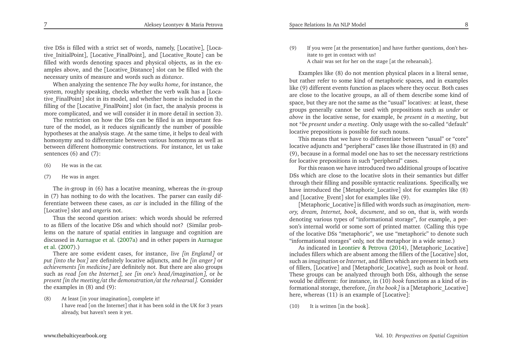tive DSs is filled with a strict set of words, namely, [Locative], [Locative\_InitialPoint], [Locative\_FinalPoint], and [Locative\_Route] can be filled with words denoting spaces and <sup>p</sup>hysical objects, as in the examples above, and the [Locative\_Distance] slot can be filled with the necessary units of measure and words such as *distance*.

When analyzing the sentence *The boy walks home*, for instance, the system, roughly speaking, checks whether the verb walk has <sup>a</sup> [Locative\_FinalPoint] slot in its model, and whether home is included in the filling of the [Locative\_FinalPoint] slot (in fact, the analysis process is more complicated, and we will consider it in more detail in section 3).

The restriction on how the DSs can be filled is an important fea ture of the model, as it reduces significantly the number of possible hypotheses at the analysis stage. At the same time, it helps to deal with homonymy and to differentiate between various homonyms as well as between different homonymic constructions. For instance, let us takesentences (6) and (7):

- (6) He was in the car.
- (7) He was in anger.

The *in*-group in (6) has <sup>a</sup> locative meaning, whereas the *in*-group in (7) has nothing to do with the locatives. The parser can easily differentiate between these cases, as *car* is included in the filling of the[Locative] slot and *anger*is not.

Thus the second question arises: which words should be referred to as fillers of the locative DSs and which should not? (Similar problems on the nature of spatial entities in language and cognition are discussed in [Aurnague](#page-12-6) et al. [\(2007a](#page-12-6)) and in other papers in Aurnague et al. [\(2007](#page-12-0)).)

 There are some evident cases, for instance, *live [in England]* or *put [into the box]* are definitely locative adjuncts, and *be [in anger]* or *achievements [in medicine]* are definitely not. But there are also groups such as *read [on the Internet]*, *see [in one's head /imagination]*, or *be present [in the meeting/at the demonstration/at the rehearsal]*. Considerthe examples in (8) and (9):

(8) At least [in your imagination], complete it! <sup>I</sup> have read [on the Internet] that it has been sold in the UK for <sup>3</sup> years already, but haven't seen it yet.

(9) If you were [at the presentation] and have further questions, don't hesitate to ge<sup>t</sup> in contact with us!

<sup>A</sup> chair was set for her on the stage [at the rehearsals].

Examples like (8) do not mention <sup>p</sup>hysical <sup>p</sup>laces in <sup>a</sup> literal sense, but rather refer to some kind of metaphoric spaces, and in examples like (9) different events function as <sup>p</sup>laces where they occur. Both cases are close to the locative groups, as all of them describe some kind of space, but they are not the same as the "usual" locatives: at least, these groups generally cannot be used with prepositions such as *under* or *above* in the locative sense, for example, *be presen<sup>t</sup> in <sup>a</sup> meeting*, but not \**be presen<sup>t</sup> under <sup>a</sup> meeting*. Only usage with the so-called "default"locative prepositions is possible for such nouns.

This means that we have to differentiate between "usual" or "core" locative adjuncts and "peripheral" cases like those illustrated in (8) and (9), because in <sup>a</sup> formal model one has to set the necessary restrictionsfor locative prepositions in such "peripheral" cases.

For this reason we have introduced two additional groups of locative DSs which are close to the locative slots in their semantics but differ through their filling and possible syntactic realizations. Specifically, we have introduced the [Metaphoric\_Locative] slot for examples like (8) and [Locative\_Event] slot for examples like (9).

[Metaphoric\_Locative] is filled with words such as *imagination, memory, dream, Internet, book, document*, and so on, that is, with words denoting various types of "informational storage", for example, <sup>a</sup> person's internal world or some sort of printed matter. (Calling this type of the locative DSs "metaphoric", we use "metaphoric" to denote such"informational storages" only, not the metaphor in <sup>a</sup> wide sense.)

 As indicated in [Leontiev](#page-13-14) & Petrova [\(2014](#page-13-14)), [Metaphoric\_Locative] includes fillers which are absent among the fillers of the [Locative] slot, such as *imagination* or *Internet*, and fillers which are presen<sup>t</sup> in both sets of fillers, [Locative] and [Metaphoric\_Locative], such as *book* or *head*. These groups can be analyzed through both DSs, although the sense would be different: for instance, in (10) *book* functions as <sup>a</sup> kind of informational storage, therefore, *[in the book]* is <sup>a</sup> [Metaphoric\_Locative] here, whereas (11) is an example of [Locative]:

(10) It is written [in the book].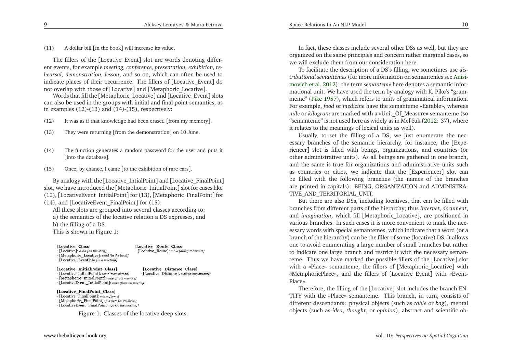(11) <sup>A</sup> dollar bill [in the book] will increase its value.

The fillers of the [Locative\_Event] slot are words denoting different events, for example *meeting, conference, presentation, exhibition, rehearsal, demonstration, lesson*, and so on, which can often be used to indicate <sup>p</sup>laces of their occurrence. The fillers of [Locative\_Event] donot overlap with those of [Locative] and [Metaphoric\_Locative].

Words that fill the [Metaphoric\_Locative] and [Locative\_Event] slots can also be used in the groups with initial and final point semantics, asin examples  $(12)-(13)$  and  $(14)-(15)$ , respectively:

- (12) It was as if that knowledge had been erased [from my memory].
- (13) They were returning [from the demonstration] on <sup>10</sup> June.
- (14) The function generates <sup>a</sup> random password for the user and puts it[into the database].
- (15) Once, by chance, <sup>I</sup> came [to the exhibition of rare cars].

By analogy with the [Locative\_IntialPoint] and [Locative\_FinalPoint] slot, we have introduced the [Metaphoric\_InitialPoint] slot for cases like

(12), [LocativeEvent\_InitialPoint] for (13), [Metaphoric\_FinalPoint] for

(14), and [LocativeEvent\_FinalPoint] for (15).

All these slots are grouped into several classes according to:

a) the semantics of the locative relation <sup>a</sup> DS expresses, and

b) the filling of <sup>a</sup> DS.

This is shown in Figure 1:

#### [Locative\_Class]

 $-$  [Locative]: book fon the shelf]

[Locative Route Class] - [Locative Route]: walk *[along the street]* 

[Locative Distance Class]

- [Metaphoric Locative]: read [in the book]  $-$ [Locative Event]: be [in a meeting]

### [Locative InitialPoint Class]

- [Locative\_InitialPoint]: come [from abroad] - [Locative\_Distance]: walk [a long distance]

- [Metaphoric\_InitialPoint]: erase [from memory] - [LocativeEvent InitialPoint]: come [from the meeting]

#### [Locative FinalPoint Class]

- [Locative FinalPoint]: return [home]

- [Metaphoric\_FinalPoint]: put [into the database]
- [LocativeEvent FinalPoint]: go [to the meeting]

Figure 1: Classes of the locative deep slots.

In fact, these classes include several other DSs as well, but they are organized on the same principles and concern rather marginal cases, sowe will exclude them from our consideration here.

To facilitate the description of <sup>a</sup> DS's filling, we sometimes use *distributional semantemes* (formore information on semantemes see Anisimovich et al. [2012](#page-12-4)); the term *semanteme* here denotes <sup>a</sup> semantic informational unit. We have used the term by analogy with K. Pike's "grammeme" [\(Pike](#page-13-15) [1957\)](#page-13-15), which refers to units of grammatical information. For example, *food* or *medicine* have the semanteme «Eatable», whereas *mile* or *kilogram* are marked with <sup>a</sup> «Unit\_Of\_Measure» semanteme (so "semanteme" is not used here as widely as in Mel'ˇcuk [\(2012](#page-13-16): 37), whereit relates to the meanings of lexical units as well).

Usually, to set the filling of <sup>a</sup> DS, we just enumerate the necessary branches of the semantic hierarchy, for instance, the [Experiencer] slot is filled with beings, organizations, and countries (or other administrative units). As all beings are gathered in one branch, and the same is true for organizations and administrative units such as countries or cities, we indicate that the [Experiencer] slot can be filled with the following branches (the names of the branches are printed in capitals): BEING, ORGANIZATION and ADMINISTRA-TIVE\_AND\_TERRITORIAL\_UNIT.

But there are also DSs, including locatives, that can be filled with branches from different parts of the hierarchy; thus *Internet*, *document*, and *imagination*, which fill [Metaphoric\_Locative], are positioned in various branches. In such cases it is more convenient to mark the necessary words with special semantemes, which indicate that <sup>a</sup> word (or <sup>a</sup> branch of the hierarchy) can be the filler of some (locative) DS. It allows one to avoid enumerating <sup>a</sup> large number of small branches but rather to indicate one large branch and restrict it with the necessary semanteme. Thus we have marked the possible fillers of the [Locative] slot with <sup>a</sup> «Place» semanteme, the fillers of [Metaphoric\_Locative] with «MetaphoricPlace», and the fillers of [Locative\_Event] with «Event-Place».

 Therefore, the filling of the [Locative] slot includes the branch EN-TITY with the «Place» semanteme. This branch, in turn, consists of different descendants: <sup>p</sup>hysical objects (such as *table* or *bag*), mental objects (such as *idea*, *thought*, or *opinion*), abstract and scientific ob-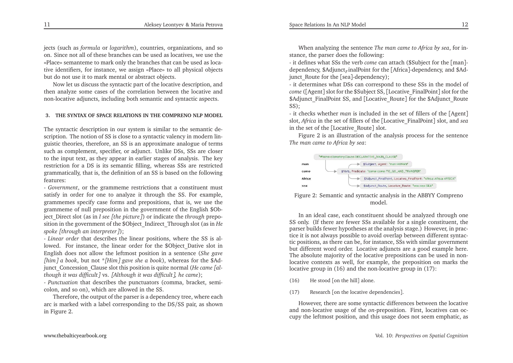jects (such as *formula* or *logarithm*), countries, organizations, and so on. Since not all of these branches can be used as locatives, we use the «Place» semanteme to mark only the branches that can be used as locative identifiers, for instance, we assign «Place» to all <sup>p</sup>hysical objectsbut do not use it to mark mental or abstract objects.

Now let us discuss the syntactic par<sup>t</sup> of the locative description, and then analyze some cases of the correlation between the locative andnon-locative adjuncts, including both semantic and syntactic aspects.

## **3. THE SYNTAX OF SPACE RELATIONS IN THE COMPRENO NLP MODEL**

The syntactic description in our system is similar to the semantic description. The notion of SS is close to <sup>a</sup> syntactic valency in modern linguistic theories, therefore, an SS is an approximate analogue of terms such as complement, specifier, or adjunct. Unlike DSs, SSs are closer to the input text, as they appear in earlier stages of analysis. The key restriction for <sup>a</sup> DS is its semantic filling, whereas SSs are restricted grammatically, that is, the definition of an SS is based on the followingfeatures:

- *Government*, or the grammeme restrictions that <sup>a</sup> constituent must satisfy in order for one to analyze it through the SS. For example, grammemes specify case forms and prepositions, that is, we use the grammeme of null preposition in the governmen<sup>t</sup> of the English \$Object\_Direct slot (as in *<sup>I</sup> see [the <sup>p</sup>icture]*) or indicate the *through* preposition in the governmen<sup>t</sup> of the \$Object\_Indirect\_Through slot (as in *He spoke [through an interpreter]*);

- *Linear order* that describes the linear positions, where the SS is allowed. For instance, the linear order for the \$Object\_Dative slot in English does not allow the leftmost position in <sup>a</sup> sentence (*She gave [him] <sup>a</sup> book*, but not \**[Him] gave she <sup>a</sup> book*), whereas for the \$Adjunct\_Concession\_Clause slot this position is quite normal (*He came [although it was difficult]* vs. *[Although it was difficult], he came*);

- *Punctuation* that describes the punctuators (comma, bracket, semicolon, and so on), which are allowed in the SS.

Therefore, the output of the parser is <sup>a</sup> dependency tree, where each arc is marked with <sup>a</sup> label corresponding to the DS/SS pair, as shownin Figure 2.

When analyzing the sentence *The man came to Africa by sea*, for instance, the parser does the following:

- it defines what SSs the verb come ca *come* can attach (\$Subject for the [man]- dependency, \$Adjunct*<sup>F</sup>* inalPoint for the [Africa]-dependency, and \$Adjunct\_Route for the [sea]-dependency);

- it determines what DSs can correspond to these SSs in the model of *come* ([Agent] slot for the \$Subject SS, [Locative\_FinalPoint] slot for the \$Adjunct\_FinalPoint SS, and [Locative\_Route] for the \$Adjunct\_Route SS);

- it checks whether *man* is included in the set of fillers of the [Agent] slot, *Africa* in the set of fillers of the [Locative\_FinalPoint] slot, and *sea* in the set of the [Locative\_Route] slot.

Figure <sup>2</sup> is an illustration of the analysis process for the sentence*The man came to Africa by sea*:



## Figure 2: Semantic and syntactic analysis in the ABBYY Comprenomodel.

In an ideal case, each constituent should be analyzed through one SS only. (If there are fewer SSs available for <sup>a</sup> single constituent, the parser builds fewer hypotheses at the analysis stage.) However, in practice it is not always possible to avoid overlap between different syntactic positions, as there can be, for instance, SSs with similar governmen<sup>t</sup> but different word order. Locative adjuncts are <sup>a</sup> good example here. The absolute majority of the locative prepositions can be used in nonlocative contexts as well, for example, the preposition on marks thelocative group in (16) and the non-locative group in (17):

- (16) He stood [on the hill] alone.
- (17) Research [on the locative dependencies].

However, there are some syntactic differences between the locative and non-locative usage of the *on*-preposition. First, locatives can occupy the leftmost position, and this usage does not seem emphatic, as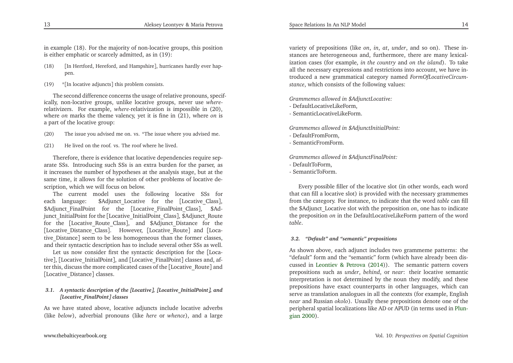in example (18). For the majority of non-locative groups, this positionis either emphatic or scarcely admitted, as in (19):

- (18)[In Hertford, Hereford, and Hampshire], hurricanes hardly ever happen.
- (19) \*[In locative adjuncts] this problem consists.

The second difference concerns the usage of relative pronouns, specifically, non-locative groups, unlike locative groups, never use where *where*- relativizers. For example, *where*-relativization is impossible in (20), where *on* marks the theme valency, ye<sup>t</sup> it is fine in (21), where *on* is <sup>a</sup> par<sup>t</sup> of the locative group:

- (20) The issue you advised me on. vs. \*The issue where you advised me.
- (21) He lived on the roof. vs. The roof where he lived.

Therefore, there is evidence that locative dependencies require separate SSs. Introducing such SSs is an extra burden for the parser, as it increases the number of hypotheses at the analysis stage, but at the same time, it allows for the solution of other problems of locative description, which we will focus on below.

The current model uses the following locative SSs for each language: \$Adjunct\_Locative for the [Locative\_Class], \$Adjunct\_FinalPoint for the [Locative\_FinalPoint\_Class], \$Adjunct\_InitialPoint for the [Locative\_InitialPoint\_Class], \$Adjunct\_Route for the [Locative\_Route\_Class], and \$Adjunct\_Distance for the [Locative\_Distance\_Class]. However, [Locative\_Route] and [Locative\_Distance] seem to be less homogeneous than the former classes, and their syntactic description has to include several other SSs as well.

Let us now consider first the syntactic description for the [Locative], [Locative\_InitialPoint], and [Locative\_FinalPoint] classes and, after this, discuss the more complicated cases of the [Locative\_Route] and[Locative\_Distance] classes.

## *3.1. <sup>A</sup> syntactic description of the [Locative], [Locative\_InitialPoint], and[Locative\_FinalPoint] classes*

As we have stated above, locative adjuncts include locative adverbs (like *below*), adverbial pronouns (like *here* or *whence*), and <sup>a</sup> large

variety of prepositions (like *on*, *in*, *at*, *under*, and so on). These instances are heterogeneous and, furthermore, there are many lexicalization cases (for example, *in the country* and *on the island*). To take all the necessary expressions and restrictions into account, we have introduced <sup>a</sup> new grammatical category named *FormOfLocativeCircumstance*, which consists of the following values:

*Grammemes allowed in \$AdjunctLocative:*

- DefaultLocativeLikeForm,
- SemanticLocativeLikeForm.

*Grammemes allowed in \$AdjunctInitialPoint:*

- DefaultFromForm,
- SemanticFromForm.

*Grammemes allowed in \$AdjunctFinalPoint:*

- DefaultToForm,
- SemanticToForm.

Every possible filler of the locative slot (in other words, each word that can fill <sup>a</sup> locative slot) is provided with the necessary grammemes from the category. For instance, to indicate that the word *table* can fill the \$Adjunct\_Locative slot with the preposition *on*, one has to indicate the preposition *on* in the DefaultLocativeLikeForm pattern of the word *table*.

## *3.2. "Default" and "semantic" prepositions*

As shown above, each adjunct includes two grammeme patterns: the "default" form and the "semantic" form (which have already been discussed in [Leontiev](#page-13-14) & Petrova [\(2014](#page-13-14))). The semantic pattern covers prepositions such as *under*, *behind*, or *near*: their locative semantic interpretation is not determined by the noun they modify, and these prepositions have exact counterparts in other languages, which can serve as translation analogues in all the contexts (for example, English *near* and Russian *okolo*). Usually these prepositions denote one of the peri[p](#page-13-17)heral spatial localizations like AD or APUD (in terms used in Plungian [2000](#page-13-17)).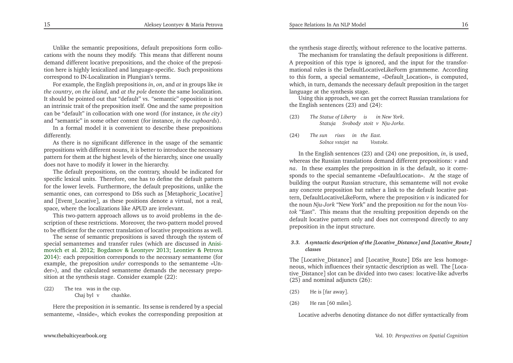Unlike the semantic prepositions, default prepositions form collocations with the nouns they modify. This means that different nouns demand different locative prepositions, and the choice of the preposition here is highly lexicalized and language-specific. Such prepositions correspond to IN-Localization in Plungian's terms.

For example, the English prepositions *in*, *on*, and *at* in groups like *in the country*, *on the island*, and *at the pole* denote the same localization. It should be pointed out that "default" vs. "semantic" opposition is not an intrinsic trait of the preposition itself. One and the same preposition can be "default" in collocation with one word (for instance, *in the city*)and "semantic" in some other context (for instance, *in the cupboards*).

In <sup>a</sup> formal model it is convenient to describe these prepositionsdifferently.

 As there is no significant difference in the usage of the semantic prepositions with different nouns, it is better to introduce the necessary pattern for them at the highest levels of the hierarchy, since one usuallydoes not have to modify it lower in the hierarchy.

The default prepositions, on the contrary, should be indicated for specific lexical units. Therefore, one has to define the default pattern for the lower levels. Furthermore, the default prepositions, unlike the semantic ones, can correspond to DSs such as [Metaphoric\_Locative] and [Event\_Locative], as these positions denote <sup>a</sup> virtual, not <sup>a</sup> real, space, where the localizations like APUD are irrelevant.

This two-pattern approach allows us to avoid problems in the description of these restrictions. Moreover, the two-pattern model provedto be efficient for the correct translation of locative prepositions as well.

The sense of semantic prepositions is saved through the system of special semantemes and transfer rules [\(](#page-12-4)which are discussed in Anisimovich et al. [2012](#page-12-4); [Bogdanov](#page-12-7) & Leontyev [2013](#page-12-7); [Leontiev](#page-13-14) & Petrova [2014](#page-13-14)): each preposition corresponds to the necessary semanteme (for example, the preposition *under* corresponds to the semanteme «Under»), and the calculated semanteme demands the necessary preposition at the synthesis stage. Consider example (22):

(22) The tea was in the cup. Chaj byl vchashke.

Here the preposition *in* is semantic. Its sense is rendered by <sup>a</sup> special semanteme, «Inside», which evokes the corresponding preposition at the synthesis stage directly, without reference to the locative patterns.

The mechanism for translating the default prepositions is different. <sup>A</sup> preposition of this type is ignored, and the input for the transformational rules is the DefaultLocativeLikeForm grammeme. According to this form, <sup>a</sup> special semanteme, «Default\_Location», is computed, which, in turn, demands the necessary default preposition in the targetlanguage at the synthesis stage.

Using this approach, we can ge<sup>t</sup> the correct Russian translations forthe English sentences (23) and (24):

- (23) *The Statue of LibertyisinNew York*. *Statuja Svobody stoit vNju-Jorke.*
- (24) *The sunrisesinthe East. Solnce vstajet naVostoke.*

In the English sentences (23) and (24) one preposition, *in*, is used, whereas the Russian translations demand different prepositions: *<sup>v</sup>* and *na*. In these examples the preposition in is the default, so it corresponds to the special semanteme «DefaultLocation». At the stage of building the output Russian structure, this semanteme will not evoke any concrete preposition but rather <sup>a</sup> link to the default locative pattern, DefaultLocativeLikeForm, where the preposition *<sup>v</sup>* is indicated for the noun *Nju-Jork* "New York" and the preposition *na* for the noun *Vostok* "East". This means that the resulting preposition depends on the default locative pattern only and does not correspond directly to anypreposition in the input structure.

## *3.3. <sup>A</sup> syntactic description of the [Locative\_Distance] and [Locative\_Route] classes*

The [Locative\_Distance] and [Locative\_Route] DSs are less homogeneous, which influences their syntactic description as well. The [Locative\_Distance] slot can be divided into two cases: locative-like adverbs (25) and nominal adjuncts (26):

- (25) He is [far away].
- (26) He ran [<sup>60</sup> miles].

Locative adverbs denoting distance do not differ syntactically from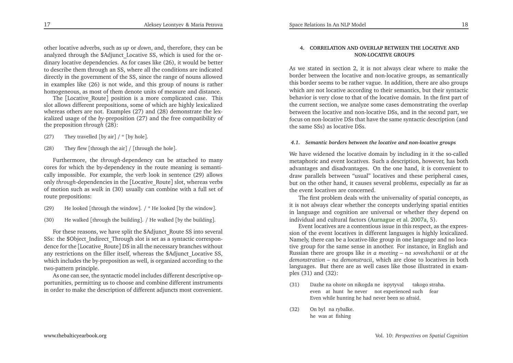other locative adverbs, such as *up* or *down*, and, therefore, they can be analyzed through the \$Adjunct\_Locative SS, which is used for the ordinary locative dependencies. As for cases like (26), it would be better to describe them through an SS, where all the conditions are indicated directly in the governmen<sup>t</sup> of the SS, since the range of nouns allowed in examples like (26) is not wide, and this group of nouns is ratherhomogeneous, as most of them denote units of measure and distance.

The [Locative\_Route] position is <sup>a</sup> more complicated case. This slot allows different prepositions, some of which are highly lexicalized whereas others are not. Examples (27) and (28) demonstrate the lexicalized usage of the *by*-preposition (27) and the free compatibility of the preposition *through* (28):

- (27) They travelled  $[$  by air]  $/$   $*$   $[$  by hole].
- (28) They flew [through the air] / [through the hole].

Furthermore, the *through*-dependency can be attached to many cores for which the by-dependency in the route meaning is semantically impossible. For example, the verb look in sentence (29) allows only *through*-dependencies in the [Locative\_Route] slot, whereas verbs of motion such as *walk* in (30) usually can combine with <sup>a</sup> full set of route prepositions:

- (29) He looked [through the window]. / \* He looked [by the window].
- (30) He walked [through the building]. / He walked [by the building].

For these reasons, we have split the \$Adjunct\_Route SS into several SSs: the \$Object\_Indirect\_Through slot is set as <sup>a</sup> syntactic correspondence for the [Locative\_Route] DS in all the necessary branches without any restrictions on the filler itself, whereas the \$Adjunct\_Locative SS, which includes the by-preposition as well, is organized according to thetwo-pattern principle.

As one can see, the syntactic model includes different descriptive opportunities, permitting us to choose and combine different instrumentsin order to make the description of different adjuncts most convenient.

## **4. CORRELATION AND OVERLAP BETWEEN THE LOCATIVE ANDNON-LOCATIVE GROUPS**

As we stated in section 2, it is not always clear where to make the border between the locative and non-locative groups, as semantically this border seems to be rather vague. In addition, there are also groups which are not locative according to their semantics, but their syntactic behavior is very close to that of the locative domain. In the first par<sup>t</sup> of the current section, we analyze some cases demonstrating the overlap between the locative and non-locative DSs, and in the second part, we focus on non-locative DSs that have the same syntactic description (andthe same SSs) as locative DSs.

### *4.1. Semantic borders between the locative and non-locative groups*

We have widened the locative domain by including in it the so-called metaphoric and event locatives. Such <sup>a</sup> description, however, has both advantages and disadvantages. On the one hand, it is convenient to draw parallels between "usual" locatives and these peripheral cases, but on the other hand, it causes several problems, especially as far asthe event locatives are concerned.

The first problem deals with the universality of spatial concepts, as it is not always clear whether the concepts underlying spatial entities in language and cognition are universal or whether they depend onindividual and cultural factors [\(Aurnague](#page-12-6) et al. [2007a](#page-12-6), 5).

Event locatives are <sup>a</sup> contentious issue in this respect, as the expression of the event locatives in different languages is highly lexicalized. Namely, there can be <sup>a</sup> locative-like group in one language and no locative group for the same sense in another. For instance, in English and Russian there are groups like *in <sup>a</sup> meeting – na soveshchanii* or *at the demonstration – na demonstracii*, which are close to locatives in both languages. But there are as well cases like those illustrated in exam<sup>p</sup>les (31) and (32):

- (31) Dazhe na ohote on nikogda ne ispytyval takogo straha. even at hunt he never not experienced such fear Even while hunting he had never been so afraid.
- $(32)$ he was at fishing byl na rybalke.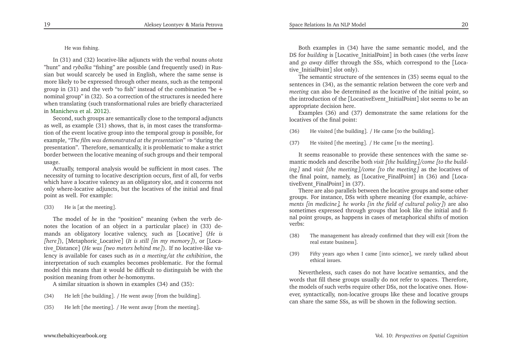## He was fishing.

In (31) and (32) locative-like adjuncts with the verbal nouns *ohota* "hunt" and *rybalka* "fishing" are possible (and frequently used) in Russian but would scarcely be used in English, where the same sense is more likely to be expressed through other means, such as the temporal group in (31) and the verb "to fish" instead of the combination "be + nominal group" in (32). So <sup>a</sup> correction of the structures is needed here when translating (such transformational rules are briefly characterizedin [Manicheva](#page-13-11) et al. [2012](#page-13-11)).

Second, such groups are semantically close to the temporal adjuncts as well, as example (31) shows, that is, in most cases the transformation of the event locative group into the temporal group is possible, for example, "*The film was demonstrated at the presentation*" <sup>⇒</sup> "during the presentation". Therefore, semantically, it is problematic to make <sup>a</sup> strict border between the locative meaning of such groups and their temporal usage.

 Actually, temporal analysis would be sufficient in most cases. The necessity of turning to locative description occurs, first of all, for verbs which have <sup>a</sup> locative valency as an obligatory slot, and it concerns not only where-locative adjuncts, but the locatives of the initial and finalpoint as well. For example:

## (33) He is [at the meeting].

The model of *be* in the "position" meaning (when the verb denotes the location of an object in <sup>a</sup> particular <sup>p</sup>lace) in (33) demands an obligatory locative valency, such as [Locative] (*He is [here]*), [Metaphoric\_Locative] (*It is still [in my memory]*), or [Locative\_Distance] (*He was [two meters behind me]*). If no locative-like valency is available for cases such as *in <sup>a</sup> meeting/at the exhibition*, the interpretation of such examples becomes problematic. For the formal model this means that it would be difficult to distinguish be with theposition meaning from other *be*-homonyms.

<sup>A</sup> similar situation is shown in examples (34) and (35):

- (34) He left [the building]. / He went away [from the building].
- (35) He left [the meeting]. / He went away [from the meeting].

Both examples in (34) have the same semantic model, and the DS for *building* is [Locative\_InitialPoint] in both cases (the verbs *leave* and *go away* differ through the SSs, which correspond to the [Locative\_InitialPoint] slot only).

The semantic structure of the sentences in (35) seems equal to the sentences in (34), as the semantic relation between the core verb and *meeting* can also be determined as the locative of the initial point, so the introduction of the [LocativeEvent\_InitialPoint] slot seems to be anappropriate decision here.

Examples (36) and (37) demonstrate the same relations for thelocatives of the final point:

(36) He visited [the building]. / He came [to the building].

(37) He visited [the meeting]. / He came [to the meeting].

It seems reasonable to provide these sentences with the same semantic models and describe both *visit [the building]/come [to the building]* and *visit [the meeting]/come [to the meeting]* as the locatives of the final point, namely, as [Locative\_FinalPoint] in (36) and [LocativeEvent\_FinalPoint] in (37).

There are also parallels between the locative groups and some other groups. For instance, DSs with sphere meaning (for example, *achieve*ments [in medicine], he works [in the field of cultural policy]) are also sometimes expressed through groups that look like the initial and final point groups, as happens in cases of metaphorical shifts of motionverbs:

- (38) The managemen<sup>t</sup> has already confirmed that they will exit [from thereal estate business].
- (39) Fifty years ago when <sup>I</sup> came [into science], we rarely talked about ethical issues.

Nevertheless, such cases do not have locative semantics, and the words that fill these groups usually do not refer to spaces. Therefore, the models of such verbs require other DSs, not the locative ones. However, syntactically, non-locative groups like these and locative groupscan share the same SSs, as will be shown in the following section.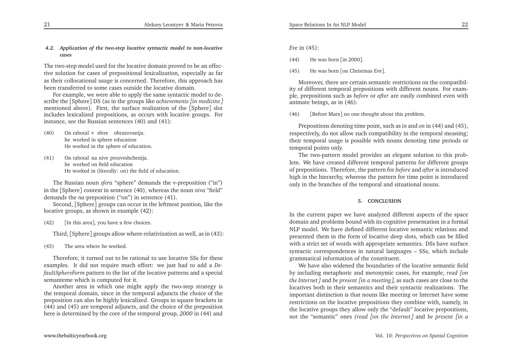## *4.2. Application of the two-step locative syntactic model to non-locativecases*

The two-step model used for the locative domain proved to be an effective solution for cases of prepositional lexicalization, especially as far as their collocational usage is concerned. Therefore, this approac<sup>h</sup> has been transferred to some cases outside the locative domain.

For example, we were able to apply the same syntactic model to describe the [Sphere] DS (as in the groups like *achievements [in medicine]* mentioned above). First, the surface realization of the [Sphere] slot includes lexicalized prepositions, as occurs with locative groups. Forinstance, see the Russian sentences (40) and (41):

- $(40)$ he worked in sphere education He worked in the sphere of education. rabotal v sfere) obrazovanija.
- (41) On rabotal na nive prosveshchenija. he worked on fieldeducationHe worked in (literally: on) the field of education.

The Russian noun *sfera* "sphere" demands the v-preposition ("in") in the [Sphere] context in sentence (40), whereas the noun *niva* "field" demands the *na*-preposition ("on") in sentence (41).

Second, [Sphere] groups can occur in the leftmost position, like thelocative groups, as shown in example (42):

(42)[In this area], you have <sup>a</sup> few choices.

Third, [Sphere] groups allow where-relativization as well, as in (43):

(43) The area where he worked.

Therefore, it turned out to be rational to use locative SSs for these examples. It did not require much effort: we just had to add <sup>a</sup> *DefaultSphereForm* pattern to the list of the locative patterns and <sup>a</sup> special semanteme which is computed for it.

Another area in which one might apply the two-step strategy is the temporal domain, since in the temporal adjuncts the choice of the preposition can also be highly lexicalized. Groups in square brackets in (44) and (45) are temporal adjuncts, and the choice of the prepositionhere is determined by the core of the temporal group, *<sup>2000</sup>* in (44) and

(44) He was born [in <sup>2000</sup>].

(45) He was born [on Christmas Eve].

Moreover, there are certain semantic restrictions on the compatibility of different temporal prepositions with different nouns. For exam<sup>p</sup>le, prepositions such as *before* or *after* are easily combined even withanimate beings, as in (46):

(46)[Before Marx] no one thought about this problem.

Prepositions denoting time point, such as *in* and *on* in (44) and (45), respectively, do not allow such compatibility in the temporal meaning; their temporal usage is possible with nouns denoting time periods ortemporal points only.

The two-pattern model provides an elegant solution to this problem. We have created different temporal patterns for different groups of prepositions. Therefore, the pattern for *before* and *after* is introduced high in the hierarchy, whereas the pattern for time point is introducedonly in the branches of the temporal and situational nouns.

## **5. CONCLUSION**

In the current paper we have analyzed different aspects of the space domain and problems bound with its cognitive presentation in <sup>a</sup> formalNLP model. We have defined different locative semantic relations and presented them in the form of locative deep slots, which can be filled with <sup>a</sup> strict set of words with appropriate semantics. DSs have surface syntactic correspondences in natural languages – SSs, which includegrammatical information of the constituent.

We have also widened the boundaries of the locative semantic field by including metaphoric and metonymic cases, for example, *read [on the Internet]* and *be presen<sup>t</sup> [in <sup>a</sup> meeting]*, as such cases are close to the locatives both in their semantics and their syntactic realizations. The important distinction is that nouns like meeting or Internet have some restrictions on the locative prepositions they combine with, namely, in the locative groups they allow only the "default" locative prepositions, not the "semantic" ones *(read [on the Internet]* and *be presen<sup>t</sup> [in <sup>a</sup>*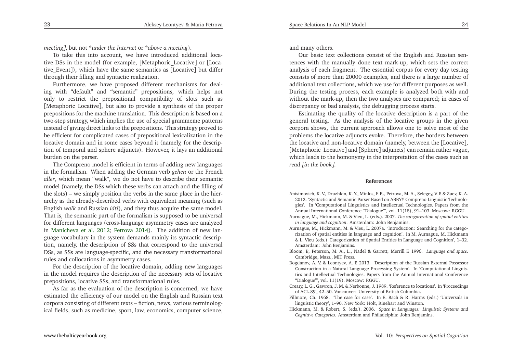*meeting]*, but not \**under the Internet* or \**above <sup>a</sup> meeting*).

To take this into account, we have introduced additional locative DSs in the model (for example, [Metaphoric\_Locative] or [Locative\_Event]), which have the same semantics as [Locative] but differ through their filling and syntactic realization.

Furthermore, we have proposed different mechanisms for dealing with "default" and "semantic" prepositions, which helps not only to restrict the prepositional compatibility of slots such as [Metaphoric\_Locative], but also to provide <sup>a</sup> synthesis of the proper prepositions for the machine translation. This description is based on <sup>a</sup> two-step strategy, which implies the use of special grammeme patterns instead of <sup>g</sup>iving direct links to the prepositions. This strategy proved to be efficient for complicated cases of prepositional lexicalization in the locative domain and in some cases beyond it (namely, for the description of temporal and sphere adjuncts). However, it lays an additionalburden on the parser.

The Compreno model is efficient in terms of adding new languages in the formalism. When adding the German verb *gehen* or the French *aller*, which mean "walk", we do not have to describe their semantic model (namely, the DSs which these verbs can attach and the filling of the slots) – we simply position the verbs in the same <sup>p</sup>lace in the hierarchy as the already-described verbs with equivalent meaning (such as English *walk* and Russian *idti*), and they thus acquire the same model. That is, the semantic par<sup>t</sup> of the formalism is supposed to be universalfor different languages (cross-language asymmetry cases are analyzed in [Manicheva](#page-13-11) et al. [2012](#page-13-11); [Petrova](#page-13-12) [2014](#page-13-12)). The addition of new language vocabulary in the system demands mainly its syntactic description, namely, the description of SSs that correspond to the universal DSs, as SSs are language-specific, and the necessary transformationalrules and collocations in asymmetry cases.

For the description of the locative domain, adding new languages in the model requires the description of the necessary sets of locativeprepositions, locative SSs, and transformational rules.

As far as the evaluation of the description is concerned, we have estimated the efficiency of our model on the English and Russian text corpora consisting of different texts – fiction, news, various terminological fields, such as medicine, sport, law, economics, computer science,

<span id="page-12-4"></span>and many others.

Our basic text collections consist of the English and Russian sentences with the manually done text mark-up, which sets the correct analysis of each fragment. The essential corpus for every day testing consists of more than <sup>20000</sup> examples, and there is <sup>a</sup> large number of additional text collections, which we use for different purposes as well. During the testing process, each example is analyzed both with and without the mark-up, then the two analyses are compared; in cases ofdiscrepancy or bad analysis, the debugging process starts.

Estimating the quality of the locative description is <sup>a</sup> par<sup>t</sup> of the general testing. As the analysis of the locative groups in the <sup>g</sup>iven corpora shows, the current approach allows one to solve most of the problems the locative adjuncts evoke. Therefore, the borders between the locative and non-locative domain (namely, between the [Locative], [Metaphoric\_Locative] and [Sphere] adjuncts) can remain rather vague, which leads to the homonymy in the interpretation of the cases such as*read [in the book]*.

### **References**

- Anisimovich, K. V., Druzhkin, K. Y., Minlos, F. R., Petrova, M. A., Selegey, V. P. & Zuev, K. A. 2012. 'Syntactic and Semantic Parser Based on ABBYY Compreno Linguistic Technolo<sup>g</sup>ies'. In 'Computational Linguistics and Intellectual Technologies. Papers from theAnnual International Conference "Dialogue"', vol. 11(18), 91–103. Moscow: RGGU.
- Aurnague, M., Hickmann, M. & Vieu, L. (eds.). 2007. *The categorization of spatial entitiesin language and cognition*. Amsterdam: John Benjamins.
- Aurnague, M., Hickmann, M. & Vieu, L. 2007a. 'Introduction: Searching for the categorization of spatial entities in language and cognition'. In M. Aurnague, M. Hickmann & L. Vieu (eds.) 'Categorization of Spatial Entities in Language and Cognition', 1–32. Amsterdam: John Benjamins.
- Bloom, P., Peterson, M. A., L., Nadel & Garrett, Merrill F. 1996. *Language and space*. Cambridge, Mass., MIT Press.
- Bogdanov, A. V. & Leontyev, A. P. 2013. 'Description of the Russian External Possessor Construction in <sup>a</sup> Natural Language Processing System'. In 'Computational Linguistics and Intellectual Technologies. Papers from the Annual International Conference"Dialogue"', vol. 11(19). Moscow: RGGU.
- Creary, L. G., Gawron, J. M. & Nerbonne, J. 1989. 'Reference to locations'. In 'Proceedingsof ACL-89', 42–50. Vancouver: University of British Columbia.
- Fillmore, Ch. 1968. 'The case for case'. In E. Bach & R. Harms (eds.) 'Universals inlinguistic theory', 1–90. New York: Holt, Rinehart and Winston.
- Hickmann, M. & Robert, S. (eds.). 2006. *Space in Languages: Linguistic Systems andCognitive Categories*. Amsterdam and Philadelphia: John Benjamins.

<span id="page-12-7"></span><span id="page-12-6"></span><span id="page-12-5"></span><span id="page-12-3"></span><span id="page-12-2"></span><span id="page-12-1"></span><span id="page-12-0"></span>23